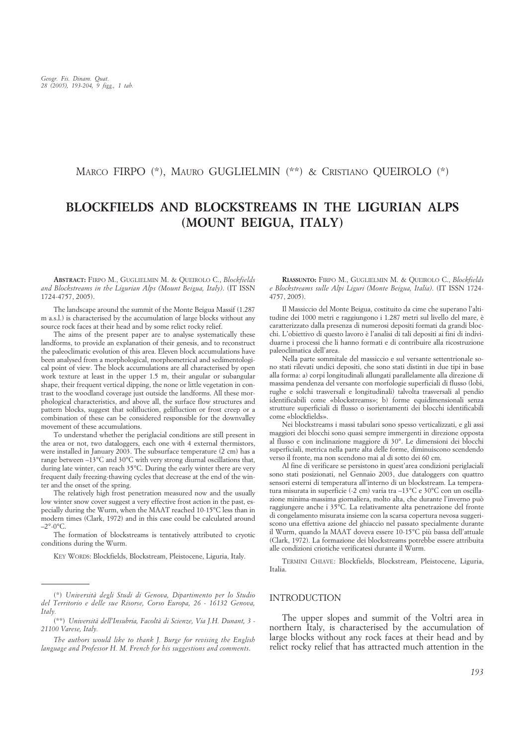MARCO FIRPO (\*), MAURO GUGLIELMIN (\*\*) & CRISTIANO QUEIROLO (\*)

# **BLOCKFIELDS AND BLOCKSTREAMS IN THE LIGURIAN ALPS (MOUNT BEIGUA, ITALY)**

**ABSTRACT:** FIRPO M., GUGLIELMIN M. & QUEIROLO C., *Blockfields and Blockstreams in the Ligurian Alps (Mount Beigua, Italy)*. (IT ISSN 1724-4757, 2005).

The landscape around the summit of the Monte Beigua Massif (1.287 m a.s.l.) is characterised by the accumulation of large blocks without any source rock faces at their head and by some relict rocky relief.

The aims of the present paper are to analyse systematically these landforms, to provide an explanation of their genesis, and to reconstruct the paleoclimatic evolution of this area. Eleven block accumulations have been analysed from a morphological, morphometrical and sedimentological point of view. The block accumulations are all characterised by open work texture at least in the upper 1.5 m, their angular or subangular shape, their frequent vertical dipping, the none or little vegetation in contrast to the woodland coverage just outside the landforms. All these morphological characteristics, and above all, the surface flow structures and pattern blocks, suggest that solifluction, gelifluction or frost creep or a combination of these can be considered responsible for the downvalley movement of these accumulations.

To understand whether the periglacial conditions are still present in the area or not, two dataloggers, each one with 4 external thermistors, were installed in January 2003. The subsurface temperature (2 cm) has a range between –13°C and 30°C with very strong diurnal oscillations that, during late winter, can reach 35°C. During the early winter there are very frequent daily freezing-thawing cycles that decrease at the end of the winter and the onset of the spring.

The relatively high frost penetration measured now and the usually low winter snow cover suggest a very effective frost action in the past, especially during the Wurm, when the MAAT reached 10-15°C less than in modern times (Clark, 1972) and in this case could be calculated around  $-2^{\circ}$ -0 $^{\circ}$ C.

The formation of blockstreams is tentatively attributed to cryotic conditions during the Wurm.

KEY WORDS: Blockfields, Blockstream, Pleistocene, Liguria, Italy.

**RIASSUNTO:** FIRPO M., GUGLIELMIN M. & QUEIROLO C., *Blockfields e Blockstreams sulle Alpi Liguri (Monte Beigua, Italia)*. (IT ISSN 1724- 4757, 2005).

Il Massiccio del Monte Beigua, costituito da cime che superano l'altitudine dei 1000 metri e raggiungono i 1.287 metri sul livello del mare, è caratterizzato dalla presenza di numerosi depositi formati da grandi blocchi. L'obiettivo di questo lavoro è l'analisi di tali depositi ai fini di individuarne i processi che li hanno formati e di contribuire alla ricostruzione paleoclimatica dell'area.

Nella parte sommitale del massiccio e sul versante settentrionale sono stati rilevati undici depositi, che sono stati distinti in due tipi in base alla forma: a) corpi longitudinali allungati parallelamente alla direzione di massima pendenza del versante con morfologie superficiali di flusso (lobi, rughe e solchi trasversali e longitudinali) talvolta trasversali al pendio identificabili come «blockstreams»; b) forme equidimensionali senza strutture superficiali di flusso o isorientamenti dei blocchi identificabili come «blockfields».

Nei blockstreams i massi tabulari sono spesso verticalizzati, e gli assi maggiori dei blocchi sono quasi sempre immergenti in direzione opposta al flusso e con inclinazione maggiore di 30°. Le dimensioni dei blocchi superficiali, metrica nella parte alta delle forme, diminuiscono scendendo verso il fronte, ma non scendono mai al di sotto dei 60 cm.

Al fine di verificare se persistono in quest'area condizioni periglaciali sono stati posizionati, nel Gennaio 2003, due dataloggers con quattro sensori esterni di temperatura all'interno di un blockstream. La temperatura misurata in superficie (-2 cm) varia tra –13°C e 30°C con un oscillazione minima-massima giornaliera, molto alta, che durante l'inverno può raggiungere anche i 35°C. La relativamente alta penetrazione del fronte di congelamento misurata insieme con la scarsa copertura nevosa suggeriscono una effettiva azione del ghiaccio nel passato specialmente durante il Wurm, quando la MAAT doveva essere 10-15°C più bassa dell'attuale (Clark, 1972). La formazione dei blockstreams potrebbe essere attribuita alle condizioni criotiche verificatesi durante il Wurm.

TERMINI CHIAVE: Blockfields, Blockstream, Pleistocene, Liguria, Italia.

# INTRODUCTION

The upper slopes and summit of the Voltri area in northern Italy, is characterised by the accumulation of large blocks without any rock faces at their head and by relict rocky relief that has attracted much attention in the

<sup>(\*)</sup> *Università degli Studi di Genova, Dipartimento per lo Studio del Territorio e delle sue Risorse, Corso Europa, 26 - 16132 Genova, Italy.*

<sup>(\*\*)</sup> *Università dell'Insubria, Facoltà di Scienze, Via J.H. Dunant, 3 - 21100 Varese, Italy.*

*The authors would like to thank J. Burge for revising the English language and Professor H. M. French for his suggestions and comments*.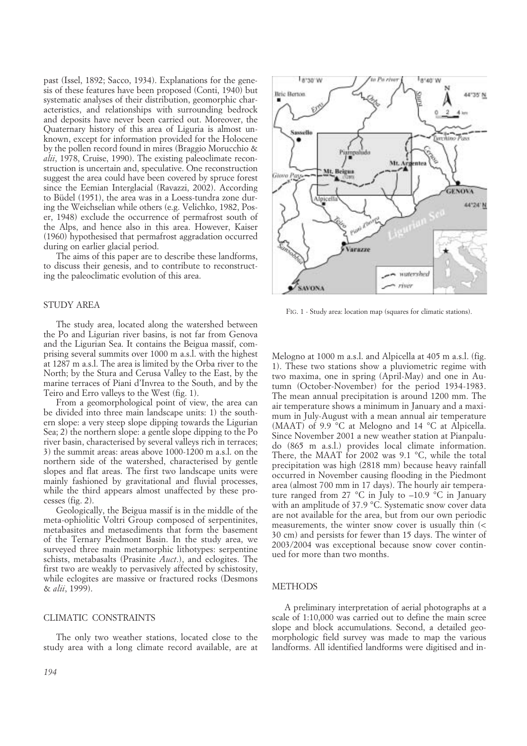past (Issel, 1892; Sacco, 1934). Explanations for the genesis of these features have been proposed (Conti, 1940) but systematic analyses of their distribution, geomorphic characteristics, and relationships with surrounding bedrock and deposits have never been carried out. Moreover, the Quaternary history of this area of Liguria is almost unknown, except for information provided for the Holocene by the pollen record found in mires (Braggio Morucchio & *alii*, 1978, Cruise, 1990). The existing paleoclimate reconstruction is uncertain and, speculative. One reconstruction suggest the area could have been covered by spruce forest since the Eemian Interglacial (Ravazzi, 2002). According to Büdel (1951), the area was in a Loess-tundra zone during the Weichselian while others (e.g. Velichko, 1982, Poser, 1948) exclude the occurrence of permafrost south of the Alps, and hence also in this area. However, Kaiser (1960) hypothesised that permafrost aggradation occurred during on earlier glacial period.

The aims of this paper are to describe these landforms, to discuss their genesis, and to contribute to reconstructing the paleoclimatic evolution of this area.

# STUDY AREA

The study area, located along the watershed between the Po and Ligurian river basins, is not far from Genova and the Ligurian Sea. It contains the Beigua massif, comprising several summits over 1000 m a.s.l. with the highest at 1287 m a.s.l. The area is limited by the Orba river to the North; by the Stura and Cerusa Valley to the East, by the marine terraces of Piani d'Invrea to the South, and by the Teiro and Erro valleys to the West (fig. 1).

From a geomorphological point of view, the area can be divided into three main landscape units: 1) the southern slope: a very steep slope dipping towards the Ligurian Sea; 2) the northern slope: a gentle slope dipping to the Po river basin, characterised by several valleys rich in terraces; 3) the summit areas: areas above 1000-1200 m a.s.l. on the northern side of the watershed, characterised by gentle slopes and flat areas. The first two landscape units were mainly fashioned by gravitational and fluvial processes, while the third appears almost unaffected by these processes (fig. 2).

Geologically, the Beigua massif is in the middle of the meta-ophiolitic Voltri Group composed of serpentinites, metabasites and metasediments that form the basement of the Ternary Piedmont Basin. In the study area, we surveyed three main metamorphic lithotypes: serpentine schists, metabasalts (Prasinite *Auct*.), and eclogites. The first two are weakly to pervasively affected by schistosity, while eclogites are massive or fractured rocks (Desmons & *alii*, 1999).

# CLIMATIC CONSTRAINTS

The only two weather stations, located close to the study area with a long climate record available, are at



FIG. 1 - Study area: location map (squares for climatic stations).

Melogno at 1000 m a.s.l. and Alpicella at 405 m a.s.l. (fig. 1). These two stations show a pluviometric regime with two maxima, one in spring (April-May) and one in Autumn (October-November) for the period 1934-1983. The mean annual precipitation is around 1200 mm. The air temperature shows a minimum in January and a maximum in July-August with a mean annual air temperature (MAAT) of 9.9 °C at Melogno and 14 °C at Alpicella. Since November 2001 a new weather station at Pianpaludo (865 m a.s.l.) provides local climate information. There, the MAAT for 2002 was 9.1  $^{\circ}$ C, while the total precipitation was high (2818 mm) because heavy rainfall occurred in November causing flooding in the Piedmont area (almost 700 mm in 17 days). The hourly air temperature ranged from 27  $\degree$ C in July to  $-10.9\degree$ C in January with an amplitude of 37.9 °C. Systematic snow cover data are not available for the area, but from our own periodic measurements, the winter snow cover is usually thin (< 30 cm) and persists for fewer than 15 days. The winter of 2003/2004 was exceptional because snow cover continued for more than two months.

#### **METHODS**

A preliminary interpretation of aerial photographs at a scale of 1:10,000 was carried out to define the main scree slope and block accumulations. Second, a detailed geomorphologic field survey was made to map the various landforms. All identified landforms were digitised and in-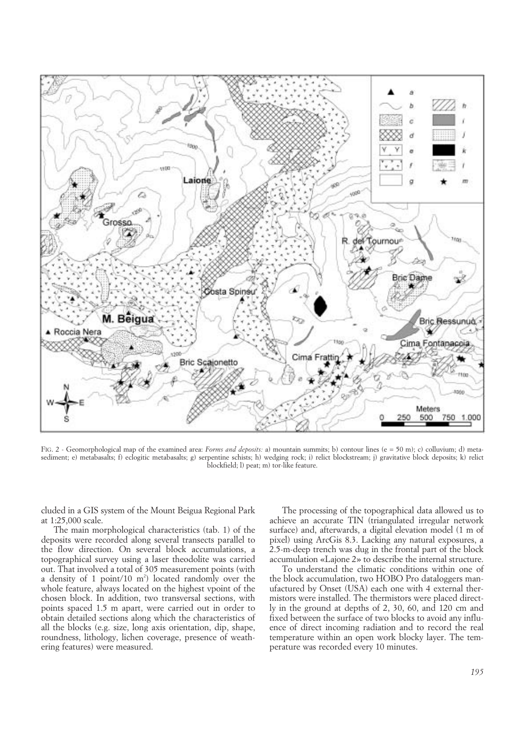

FIG. 2 - Geomorphological map of the examined area: *Forms and deposits:* a) mountain summits; b) contour lines (e = 50 m); c) colluvium; d) metasediment; e) metabasalts; f) eclogitic metabasalts; g) serpentine schists; h) wedging rock; i) relict blockstream; j) gravitative block deposits; k) relict blockfield; l) peat; m) tor-like feature.

cluded in a GIS system of the Mount Beigua Regional Park at 1:25,000 scale.

The main morphological characteristics (tab. 1) of the deposits were recorded along several transects parallel to the flow direction. On several block accumulations, a topographical survey using a laser theodolite was carried out. That involved a total of 305 measurement points (with a density of 1 point/10  $m<sup>2</sup>$ ) located randomly over the whole feature, always located on the highest vpoint of the chosen block. In addition, two transversal sections, with points spaced 1.5 m apart, were carried out in order to obtain detailed sections along which the characteristics of all the blocks (e.g. size, long axis orientation, dip, shape, roundness, lithology, lichen coverage, presence of weathering features) were measured.

The processing of the topographical data allowed us to achieve an accurate TIN (triangulated irregular network surface) and, afterwards, a digital elevation model (1 m of pixel) using ArcGis 8.3. Lacking any natural exposures, a 2.5-m-deep trench was dug in the frontal part of the block accumulation «Lajone 2» to describe the internal structure.

To understand the climatic conditions within one of the block accumulation, two HOBO Pro dataloggers manufactured by Onset (USA) each one with 4 external thermistors were installed. The thermistors were placed directly in the ground at depths of 2, 30, 60, and 120 cm and fixed between the surface of two blocks to avoid any influence of direct incoming radiation and to record the real temperature within an open work blocky layer. The temperature was recorded every 10 minutes.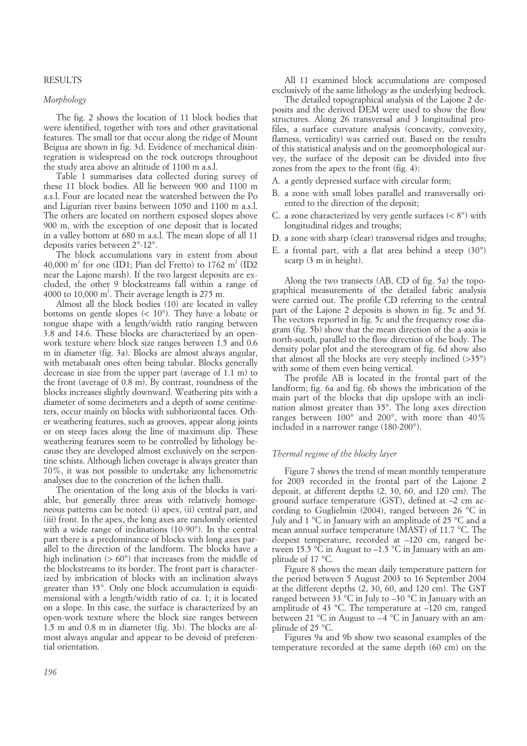#### RESULTS

# *Morphology*

The fig. 2 shows the location of 11 block bodies that were identified, together with tors and other gravitational features. The small tor that occur along the ridge of Mount Beigua are shown in fig. 3d. Evidence of mechanical disintegration is widespread on the rock outcrops throughout the study area above an altitude of 1100 m a.s.l.

Table 1 summarises data collected during survey of these 11 block bodies. All lie between 900 and 1100 m a.s.l. Four are located near the watershed between the Po and Ligurian river basins between 1050 and 1100 m a.s.l. The others are located on northern exposed slopes above 900 m, with the exception of one deposit that is located in a valley bottom at 680 m a.s.l. The mean slope of all 11 deposits varies between 2°-12°.

The block accumulations vary in extent from about 40,000 m<sup>2</sup> for one (ID1; Pian del Fretto) to 1762 m<sup>2</sup> (ID2) near the Lajone marsh). If the two largest deposits are excluded, the other 9 blockstreams fall within a range of 4000 to 10,000  $m^2$ . Their average length is 275 m.

Almost all the block bodies (10) are located in valley bottoms on gentle slopes (< 10°). They have a lobate or tongue shape with a length/width ratio ranging between 3.8 and 14.6. These blocks are characterized by an openwork texture where block size ranges between 1.5 and 0.6 m in diameter (fig. 3a). Blocks are almost always angular, with metabasalt ones often being tabular. Blocks generally decrease in size from the upper part (average of 1.1 m) to the front (average of 0.8 m). By contrast, roundness of the blocks increases slightly downward. Weathering pits with a diameter of some decimeters and a depth of some centimeters, occur mainly on blocks with subhorizontal faces. Other weathering features, such as grooves, appear along joints or on steep faces along the line of maximum dip. These weathering features seem to be controlled by lithology because they are developed almost exclusively on the serpentine schists. Although lichen coverage is always greater than 70%, it was not possible to undertake any lichenometric analyses due to the concretion of the lichen thalli.

The orientation of the long axis of the blocks is variable, but generally three areas with relatively homogeneous patterns can be noted: (i) apex, (ii) central part, and (iii) front. In the apex, the long axes are randomly oriented with a wide range of inclinations (10-90°). In the central part there is a predominance of blocks with long axes parallel to the direction of the landform. The blocks have a high inclination ( $> 60^{\circ}$ ) that increases from the middle of the blockstreams to its border. The front part is characterized by imbrication of blocks with an inclination always greater than 35°. Only one block accumulation is equidimensional with a length/width ratio of ca. 1; it is located on a slope. In this case, the surface is characterized by an open-work texture where the block size ranges between 1.5 m and 0.8 m in diameter (fig. 3b). The blocks are almost always angular and appear to be devoid of preferential orientation.

All 11 examined block accumulations are composed exclusively of the same lithology as the underlying bedrock.

The detailed topographical analysis of the Lajone 2 deposits and the derived DEM were used to show the flow structures. Along 26 transversal and 3 longitudinal profiles, a surface curvature analysis (concavity, convexity, flatness, verticality) was carried out. Based on the results of this statistical analysis and on the geomorphological survey, the surface of the deposit can be divided into five zones from the apex to the front (fig. 4):

- A. a gently depressed surface with circular form;
- B. a zone with small lobes parallel and transversally oriented to the direction of the deposit;
- C. a zone characterized by very gentle surfaces  $(< 8^{\circ})$  with longitudinal ridges and troughs;
- D. a zone with sharp (clear) transversal ridges and troughs;
- E. a frontal part, with a flat area behind a steep (30°) scarp (3 m in height).

Along the two transects (AB, CD of fig. 5a) the topographical measurements of the detailed fabric analysis were carried out. The profile CD referring to the central part of the Lajone 2 deposits is shown in fig. 5c and 5f. The vectors reported in fig. 5c and the frequency rose diagram (fig. 5b) show that the mean direction of the a-axis is north-south, parallel to the flow direction of the body. The density polar plot and the stereogram of fig. 6d show also that almost all the blocks are very steeply inclined  $($ >35 $^{\circ}$  $)$ with some of them even being vertical.

The profile AB is located in the frontal part of the landform; fig. 6a and fig. 6b shows the imbrication of the main part of the blocks that dip upslope with an inclination almost greater than 35°. The long axes direction ranges between 100° and 200°, with more than 40% included in a narrower range (180-200°).

# *Thermal regime of the blocky layer*

Figure 7 shows the trend of mean monthly temperature for 2003 recorded in the frontal part of the Lajone 2 deposit, at different depths (2, 30, 60, and 120 cm). The ground surface temperature (GST), defined at –2 cm according to Guglielmin (2004), ranged between 26 °C in July and 1 °C in January with an amplitude of 25 °C and a mean annual surface temperature (MAST) of 11.7 °C. The deepest temperature, recorded at –120 cm, ranged between 15.5  $\mathrm{C}$  in August to -1.5  $\mathrm{C}$  in January with an amplitude of 17 °C.

Figure 8 shows the mean daily temperature pattern for the period between 5 August 2003 to 16 September 2004 at the different depths (2, 30, 60, and 120 cm). The GST ranged between 33 °C in July to  $-30$  °C in January with an amplitude of 43 °C. The temperature at –120 cm, ranged between 21 °C in August to –4 °C in January with an amplitude of 25 °C.

Figures 9a and 9b show two seasonal examples of the temperature recorded at the same depth (60 cm) on the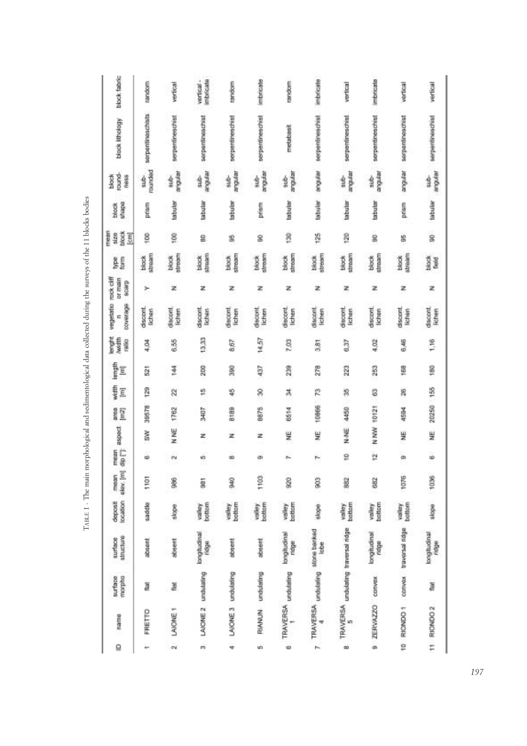| block fabric                          | random                 | vertical          | imbricate<br>vertical - | random                   | imbricate         | random                   | imbricate                                | vertical                            | imbricate            | vertical               | vertical             |
|---------------------------------------|------------------------|-------------------|-------------------------|--------------------------|-------------------|--------------------------|------------------------------------------|-------------------------------------|----------------------|------------------------|----------------------|
| block lithology                       | serpentineschists      | serpentineschist  | serpentineschist        | serpentineschist         | serpentineschist  | metabasit                | serpentineschist                         | serpentineschist                    | serpentineschist     | serpentineschist       | serpentineschist     |
| round.<br>block<br>ness               | rounded<br>$rac{1}{2}$ | argular<br>当      | rendue<br>$\frac{1}{3}$ | angular<br>$\frac{1}{3}$ | arqular<br>dine.  | angular<br>$\frac{1}{3}$ | angular                                  | mandur<br>$\frac{1}{2}$             | angular<br>sub-      | anguar                 | angular<br>sub-      |
| shape<br>block                        | prism                  | labular           | tabular                 | tabular                  | prism             | tabular                  | <b>Iabular</b>                           | tabular                             | tabular              | prisim                 | tabular              |
| mean<br>block<br>size<br>E            | $\frac{8}{100}$        | 100               | 2                       | g                        | g                 | 50                       | 125                                      | 120                                 | 8                    | 9                      | g                    |
| ğ<br>g                                | stream<br>block        | stream<br>block   | stream<br>block         | stream<br>block.         | stream<br>block   | stream<br>block          | stream<br>block                          | stream<br>block                     | stream<br>block      | stream<br>block        | de a<br>Bai          |
| or main<br>acarp                      | r                      | z                 | z                       | z                        | z                 | z                        | z                                        | z                                   | z                    | z                      | z                    |
| vegetatio rock cliff<br>coverage<br>E | discont<br>lichen      | discont<br>lichen | discont<br>lichen       | discont<br>lichen        | discont<br>lichen | discont<br>lichen        | discont<br>lichen                        | discont<br>lichen                   | discont<br>lichen    | discont<br>lichen      | discont.<br>lichen   |
| lerght<br>Nwidth<br>ratio             | 4,04                   | 835               | 13,33                   | 8.67                     | 14,57             | 7,03                     | 5.81                                     | 6.37                                | 4,02                 | 6,46                   | 1,16                 |
| length<br>Ē                           | $\frac{1}{2}$          | 144               | 202                     | 380                      | 437               | 239                      | 278                                      | 223                                 | 253                  | 168                    | 180                  |
| width<br>Ē                            | gz                     | 2                 | fö                      | ¥                        | Ż                 | z                        | r                                        | R                                   | 3                    | R                      |                      |
| area<br>$\sqrt{m2}$                   | 39578                  | 1762              | <b>Z0PE</b>             | 8189                     | 8875              | 6614                     | 10006                                    | 4450                                | 10121                | 4594                   | 20250 155            |
| aspect                                | š                      | N NE              | z                       | z                        | z                 | 븾                        | 头                                        | N-NE                                | NW N                 | ¥                      | 쁮                    |
| dip []<br>mean                        | ٠                      | 6V                | w                       | œ                        | œ                 | r.                       | r                                        | g                                   | ë                    | in,                    | ŵ                    |
| alex, [m]<br>mean                     | 1101                   | L                 | š                       | ges                      | 1103              | 920                      | 803                                      | 382                                 | 682                  | 1076                   | 1036                 |
| location<br>deposit                   | saddle                 | slope             | bottom<br>valley        | bottom<br>valley         | bottom<br>valley  | bottom<br>valley         | slope.                                   | bottom<br>yalley                    | bottom<br>yalley     | valley                 | slope                |
| structure<br>surface                  | absent                 | streem            | langtudinal<br>ridge    | absent                   | absent            | lengtudinal<br>ridge     | TRAVERSA undulating stone banked<br>lobe | TRAVERSA undulating traversal ridge | lengtudinal<br>ridge | convex traversal ridge | lengtudinal<br>ridge |
| morpha<br>surface                     | ä                      | Z                 | undulating              |                          | RIANUN undulsting |                          |                                          |                                     |                      |                        | 190                  |
| name                                  | FRETTO                 | LAIONE 1          | LAIONE <sub>2</sub>     | LAIONE 3 undulating      |                   | TRAVERSA undulating<br>٣ | ψ                                        |                                     | 9 ZERVAZZO convex    | 10 RICNDO 1            | 11 RIONDO 2          |
| $\overline{a}$                        | ٠                      | $\sim$            | m                       | ÷                        | uni               | ö                        | k                                        | 43                                  |                      |                        |                      |

TABLE 1 - The main morphological and sedimentological data collected during the surveys of the 11 blocks bodies TABLE 1 - The main morphological and sedimentological data collected during the surveys of the 11 blocks bodies

*197*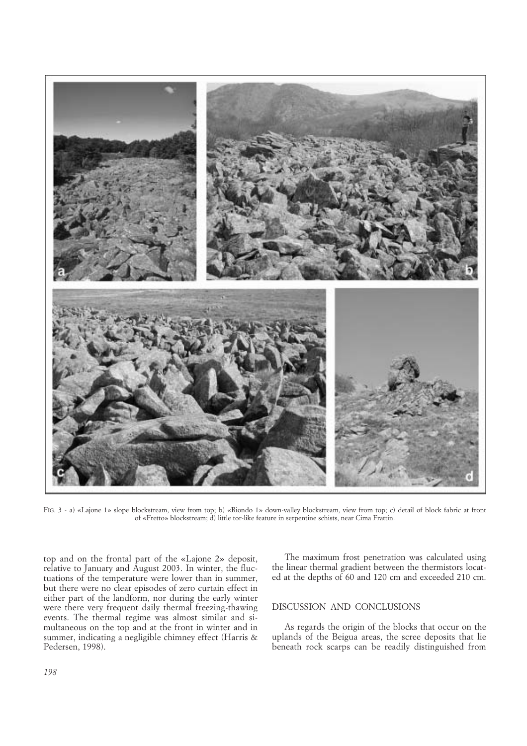

FIG. 3 - a) «Lajone 1» slope blockstream, view from top; b) «Riondo 1» down-valley blockstream, view from top; c) detail of block fabric at front of «Fretto» blockstream; d) little tor-like feature in serpentine schists, near Cima Frattin.

top and on the frontal part of the «Lajone 2» deposit, relative to January and August 2003. In winter, the fluctuations of the temperature were lower than in summer, but there were no clear episodes of zero curtain effect in either part of the landform, nor during the early winter were there very frequent daily thermal freezing-thawing events. The thermal regime was almost similar and simultaneous on the top and at the front in winter and in summer, indicating a negligible chimney effect (Harris & Pedersen, 1998).

The maximum frost penetration was calculated using the linear thermal gradient between the thermistors located at the depths of 60 and 120 cm and exceeded 210 cm.

# DISCUSSION AND CONCLUSIONS

As regards the origin of the blocks that occur on the uplands of the Beigua areas, the scree deposits that lie beneath rock scarps can be readily distinguished from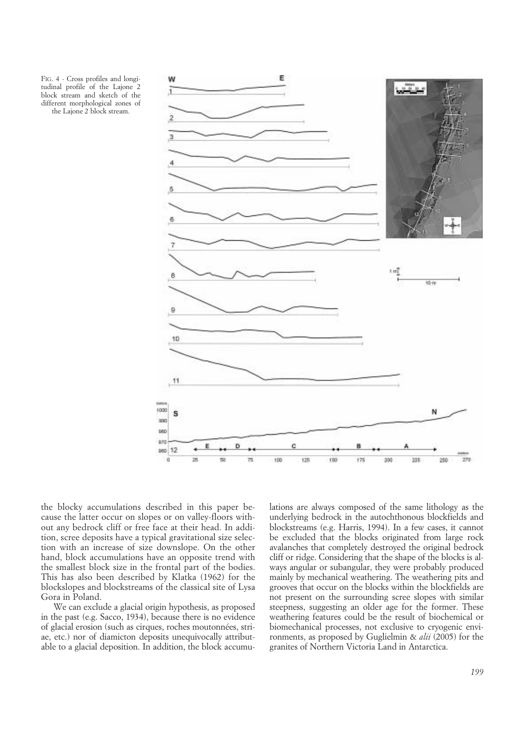FIG. 4 - Cross profiles and longitudinal profile of the Lajone 2 block stream and sketch of the different morphological zones of the Lajone 2 block stream.



the blocky accumulations described in this paper because the latter occur on slopes or on valley-floors without any bedrock cliff or free face at their head. In addition, scree deposits have a typical gravitational size selection with an increase of size downslope. On the other hand, block accumulations have an opposite trend with the smallest block size in the frontal part of the bodies. This has also been described by Klatka (1962) for the blockslopes and blockstreams of the classical site of Lysa Gora in Poland.

We can exclude a glacial origin hypothesis, as proposed in the past (e.g. Sacco, 1934), because there is no evidence of glacial erosion (such as cirques, roches moutonnées, striae, etc.) nor of diamicton deposits unequivocally attributable to a glacial deposition. In addition, the block accumulations are always composed of the same lithology as the underlying bedrock in the autochthonous blockfields and blockstreams (e.g. Harris, 1994). In a few cases, it cannot be excluded that the blocks originated from large rock avalanches that completely destroyed the original bedrock cliff or ridge. Considering that the shape of the blocks is always angular or subangular, they were probably produced mainly by mechanical weathering. The weathering pits and grooves that occur on the blocks within the blockfields are not present on the surrounding scree slopes with similar steepness, suggesting an older age for the former. These weathering features could be the result of biochemical or biomechanical processes, not exclusive to cryogenic environments, as proposed by Guglielmin & *alii* (2005) for the granites of Northern Victoria Land in Antarctica.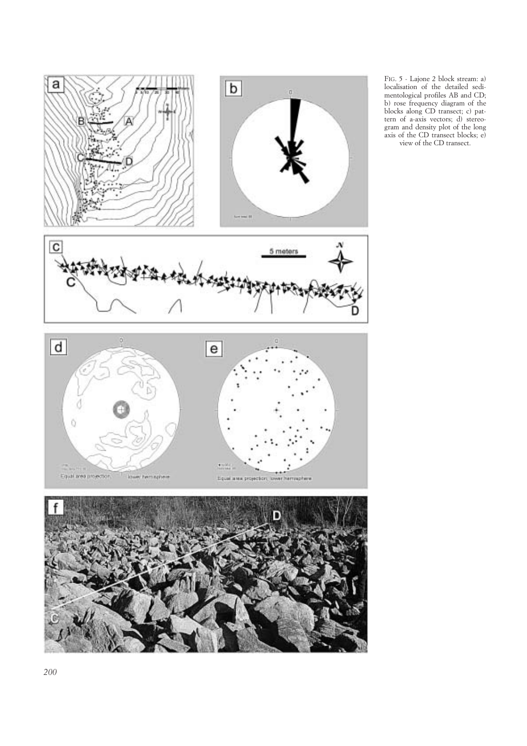

FIG. 5 - Lajone 2 block stream: a) localisation of the detailed sedimentological profiles AB and CD; b) rose frequency diagram of the blocks along CD transect; c) pattern of a-axis vectors; d) stereogram and density plot of the long axis of the CD transect blocks; e) view of the CD transect.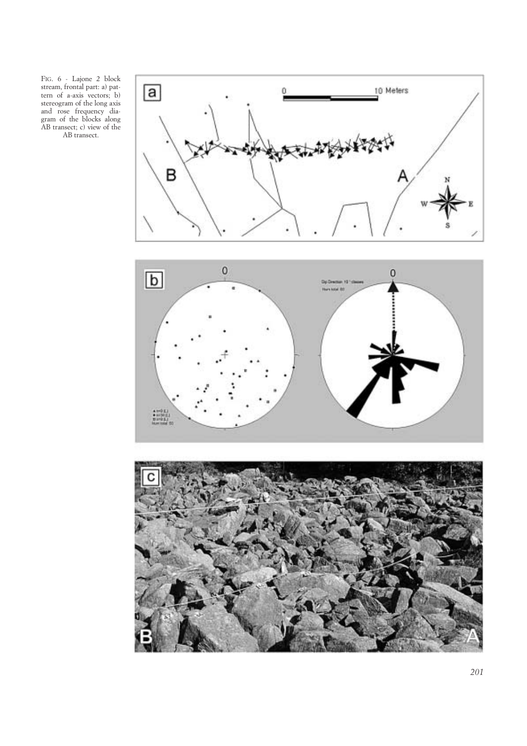FIG. 6 - Lajone 2 block stream, frontal part: a) pattern of a-axis vectors; b) stereogram of the long axis and rose frequency diagram of the blocks along AB transect; c) view of the AB transect.

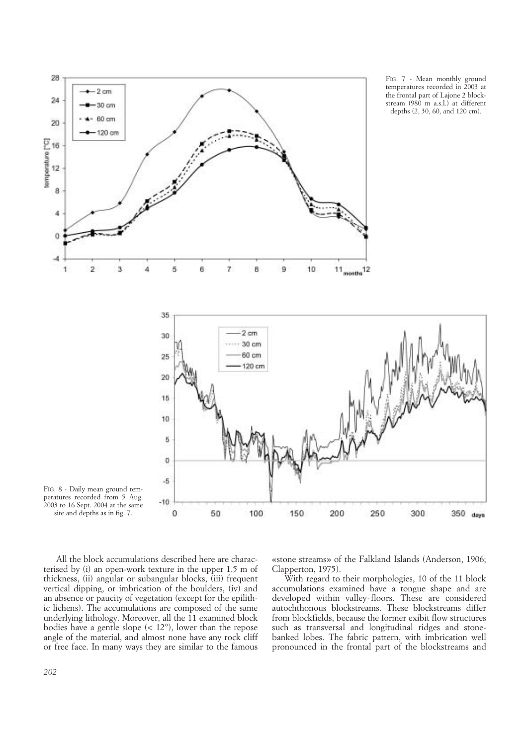

All the block accumulations described here are characterised by (i) an open-work texture in the upper 1.5 m of thickness, (ii) angular or subangular blocks, (iii) frequent vertical dipping, or imbrication of the boulders, (iv) and an absence or paucity of vegetation (except for the epilithic lichens). The accumulations are composed of the same underlying lithology. Moreover, all the 11 examined block bodies have a gentle slope  $(< 12^{\circ})$ , lower than the repose angle of the material, and almost none have any rock cliff or free face. In many ways they are similar to the famous

«stone streams» of the Falkland Islands (Anderson, 1906; Clapperton, 1975).

With regard to their morphologies, 10 of the 11 block accumulations examined have a tongue shape and are developed within valley-floors. These are considered autochthonous blockstreams. These blockstreams differ from blockfields, because the former exibit flow structures such as transversal and longitudinal ridges and stonebanked lobes. The fabric pattern, with imbrication well pronounced in the frontal part of the blockstreams and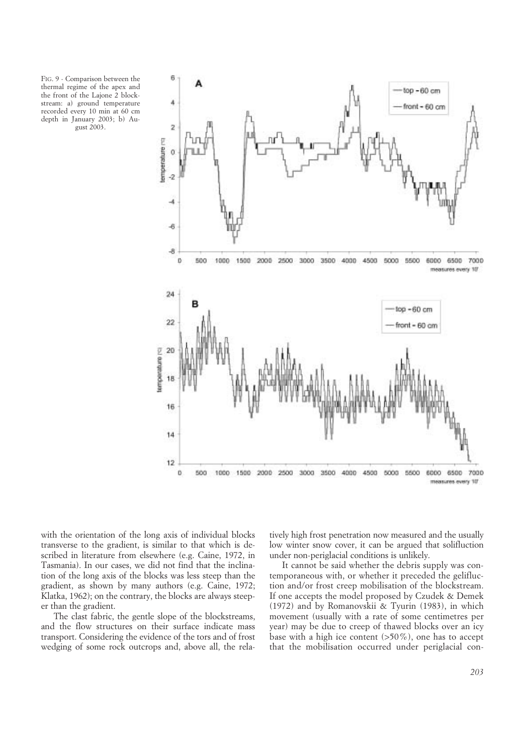FIG. 9 - Comparison between the thermal regime of the apex and the front of the Lajone 2 blockstream: a) ground temperature recorded every 10 min at 60 cm depth in January 2003; b) August 2003.



with the orientation of the long axis of individual blocks transverse to the gradient, is similar to that which is described in literature from elsewhere (e.g. Caine, 1972, in Tasmania). In our cases, we did not find that the inclination of the long axis of the blocks was less steep than the gradient, as shown by many authors (e.g. Caine, 1972; Klatka, 1962); on the contrary, the blocks are always steeper than the gradient.

The clast fabric, the gentle slope of the blockstreams, and the flow structures on their surface indicate mass transport. Considering the evidence of the tors and of frost wedging of some rock outcrops and, above all, the relatively high frost penetration now measured and the usually low winter snow cover, it can be argued that solifluction under non-periglacial conditions is unlikely.

It cannot be said whether the debris supply was contemporaneous with, or whether it preceded the gelifluction and/or frost creep mobilisation of the blockstream. If one accepts the model proposed by Czudek & Demek (1972) and by Romanovskii & Tyurin (1983), in which movement (usually with a rate of some centimetres per year) may be due to creep of thawed blocks over an icy base with a high ice content  $(>50\%)$ , one has to accept that the mobilisation occurred under periglacial con